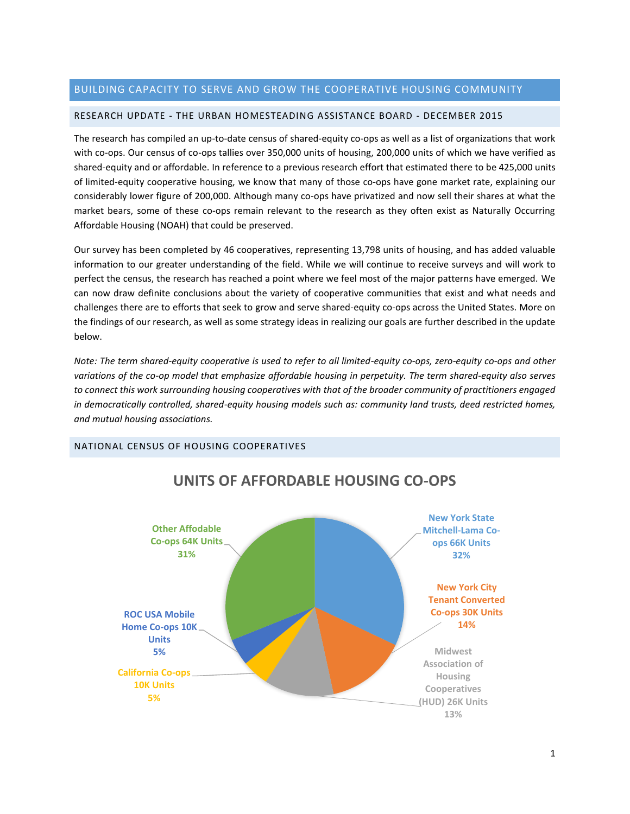# BUILDING CAPACITY TO SERVE AND GROW THE COOPERATIVE HOUSING COMMUNITY

# RESEARCH UPDATE - THE URBAN HOMESTEADING ASSISTANCE BOARD - DECEMBER 2015

The research has compiled an up-to-date census of shared-equity co-ops as well as a list of organizations that work with co-ops. Our census of co-ops tallies over 350,000 units of housing, 200,000 units of which we have verified as shared-equity and or affordable. In reference to a previous research effort that estimated there to be 425,000 units of limited-equity cooperative housing, we know that many of those co-ops have gone market rate, explaining our considerably lower figure of 200,000. Although many co-ops have privatized and now sell their shares at what the market bears, some of these co-ops remain relevant to the research as they often exist as Naturally Occurring Affordable Housing (NOAH) that could be preserved.

Our survey has been completed by 46 cooperatives, representing 13,798 units of housing, and has added valuable information to our greater understanding of the field. While we will continue to receive surveys and will work to perfect the census, the research has reached a point where we feel most of the major patterns have emerged. We can now draw definite conclusions about the variety of cooperative communities that exist and what needs and challenges there are to efforts that seek to grow and serve shared-equity co-ops across the United States. More on the findings of our research, as well as some strategy ideas in realizing our goals are further described in the update below.

*Note: The term shared-equity cooperative is used to refer to all limited-equity co-ops, zero-equity co-ops and other variations of the co-op model that emphasize affordable housing in perpetuity. The term shared-equity also serves to connect this work surrounding housing cooperatives with that of the broader community of practitioners engaged in democratically controlled, shared-equity housing models such as: community land trusts, deed restricted homes, and mutual housing associations.*

# NATIONAL CENSUS OF HOUSING COOPERATIVES



# **UNITS OF AFFORDABLE HOUSING CO-OPS**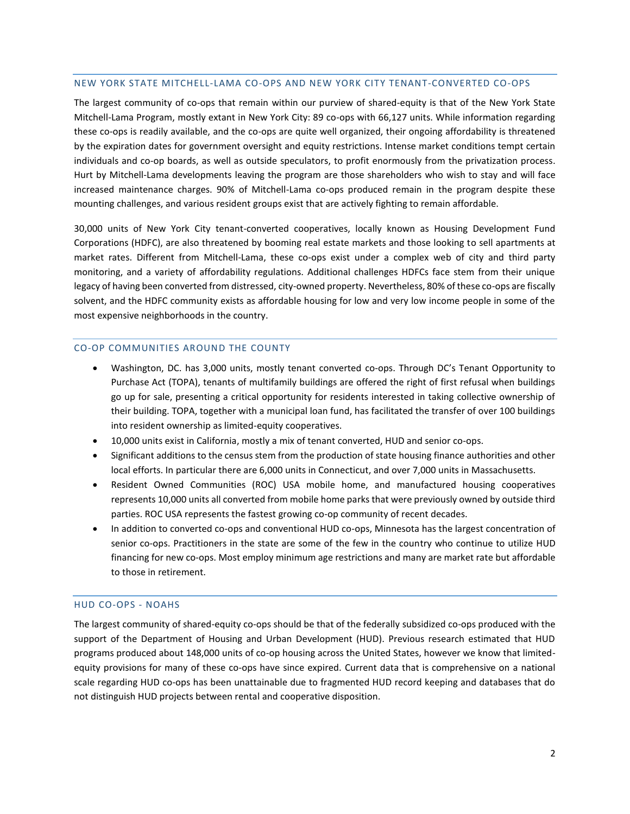#### NEW YORK STATE MITCHELL-LAMA CO-OPS AND NEW YORK CITY TENANT-CONVERTED CO-OPS

The largest community of co-ops that remain within our purview of shared-equity is that of the New York State Mitchell-Lama Program, mostly extant in New York City: 89 co-ops with 66,127 units. While information regarding these co-ops is readily available, and the co-ops are quite well organized, their ongoing affordability is threatened by the expiration dates for government oversight and equity restrictions. Intense market conditions tempt certain individuals and co-op boards, as well as outside speculators, to profit enormously from the privatization process. Hurt by Mitchell-Lama developments leaving the program are those shareholders who wish to stay and will face increased maintenance charges. 90% of Mitchell-Lama co-ops produced remain in the program despite these mounting challenges, and various resident groups exist that are actively fighting to remain affordable.

30,000 units of New York City tenant-converted cooperatives, locally known as Housing Development Fund Corporations (HDFC), are also threatened by booming real estate markets and those looking to sell apartments at market rates. Different from Mitchell-Lama, these co-ops exist under a complex web of city and third party monitoring, and a variety of affordability regulations. Additional challenges HDFCs face stem from their unique legacy of having been converted from distressed, city-owned property. Nevertheless, 80% of these co-ops are fiscally solvent, and the HDFC community exists as affordable housing for low and very low income people in some of the most expensive neighborhoods in the country.

# CO-OP COMMUNITIES AROUND THE COUNTY

- Washington, DC. has 3,000 units, mostly tenant converted co-ops. Through DC's Tenant Opportunity to Purchase Act (TOPA), tenants of multifamily buildings are offered the right of first refusal when buildings go up for sale, presenting a critical opportunity for residents interested in taking collective ownership of their building. TOPA, together with a municipal loan fund, has facilitated the transfer of over 100 buildings into resident ownership as limited-equity cooperatives.
- 10,000 units exist in California, mostly a mix of tenant converted, HUD and senior co-ops.
- Significant additions to the census stem from the production of state housing finance authorities and other local efforts. In particular there are 6,000 units in Connecticut, and over 7,000 units in Massachusetts.
- Resident Owned Communities (ROC) USA mobile home, and manufactured housing cooperatives represents 10,000 units all converted from mobile home parks that were previously owned by outside third parties. ROC USA represents the fastest growing co-op community of recent decades.
- In addition to converted co-ops and conventional HUD co-ops, Minnesota has the largest concentration of senior co-ops. Practitioners in the state are some of the few in the country who continue to utilize HUD financing for new co-ops. Most employ minimum age restrictions and many are market rate but affordable to those in retirement.

#### HUD CO-OPS - NOAHS

The largest community of shared-equity co-ops should be that of the federally subsidized co-ops produced with the support of the Department of Housing and Urban Development (HUD). Previous research estimated that HUD programs produced about 148,000 units of co-op housing across the United States, however we know that limitedequity provisions for many of these co-ops have since expired. Current data that is comprehensive on a national scale regarding HUD co-ops has been unattainable due to fragmented HUD record keeping and databases that do not distinguish HUD projects between rental and cooperative disposition.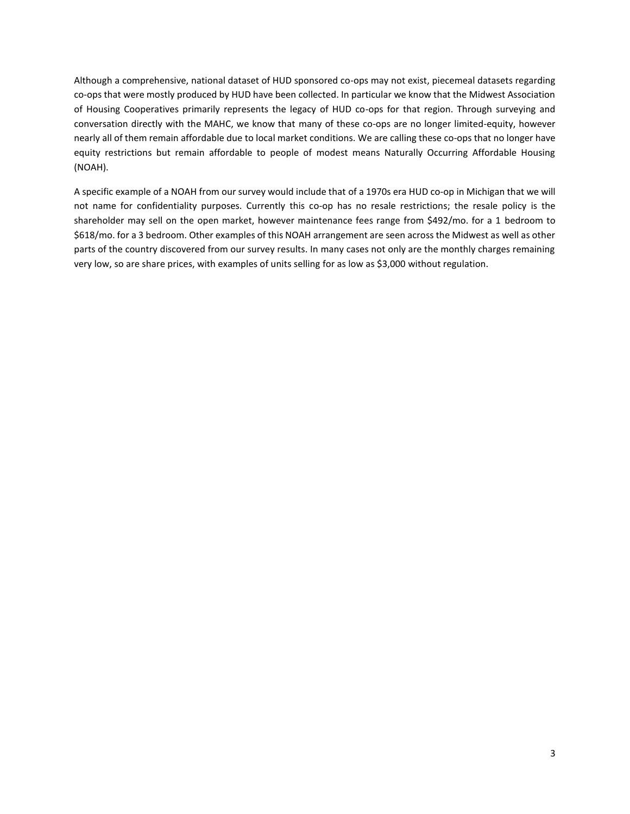Although a comprehensive, national dataset of HUD sponsored co-ops may not exist, piecemeal datasets regarding co-ops that were mostly produced by HUD have been collected. In particular we know that the Midwest Association of Housing Cooperatives primarily represents the legacy of HUD co-ops for that region. Through surveying and conversation directly with the MAHC, we know that many of these co-ops are no longer limited-equity, however nearly all of them remain affordable due to local market conditions. We are calling these co-ops that no longer have equity restrictions but remain affordable to people of modest means Naturally Occurring Affordable Housing (NOAH).

A specific example of a NOAH from our survey would include that of a 1970s era HUD co-op in Michigan that we will not name for confidentiality purposes. Currently this co-op has no resale restrictions; the resale policy is the shareholder may sell on the open market, however maintenance fees range from \$492/mo. for a 1 bedroom to \$618/mo. for a 3 bedroom. Other examples of this NOAH arrangement are seen across the Midwest as well as other parts of the country discovered from our survey results. In many cases not only are the monthly charges remaining very low, so are share prices, with examples of units selling for as low as \$3,000 without regulation.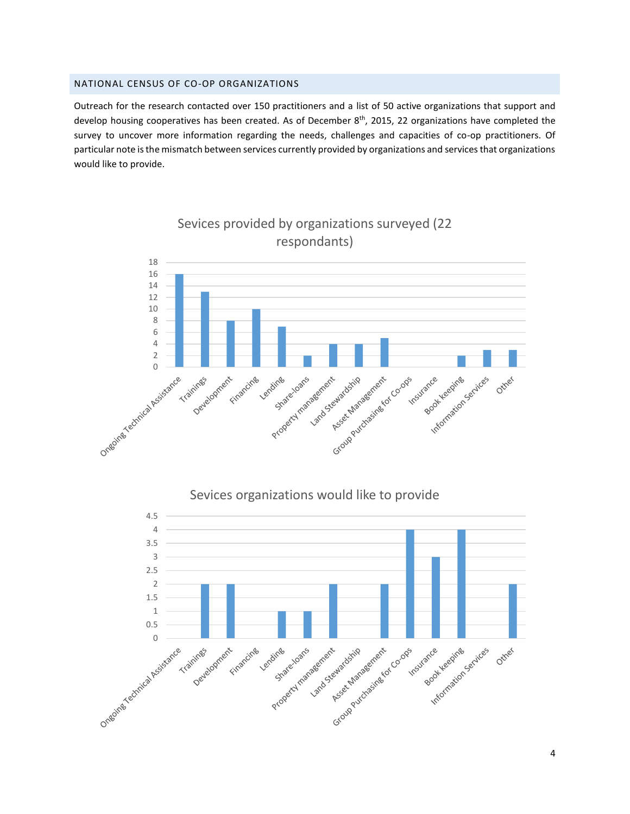## NATIONAL CENSUS OF CO-OP ORGANIZATIONS

Outreach for the research contacted over 150 practitioners and a list of 50 active organizations that support and develop housing cooperatives has been created. As of December  $8<sup>th</sup>$ , 2015, 22 organizations have completed the survey to uncover more information regarding the needs, challenges and capacities of co-op practitioners. Of particular note is the mismatch between services currently provided by organizations and services that organizations would like to provide.



Sevices provided by organizations surveyed (22 respondants)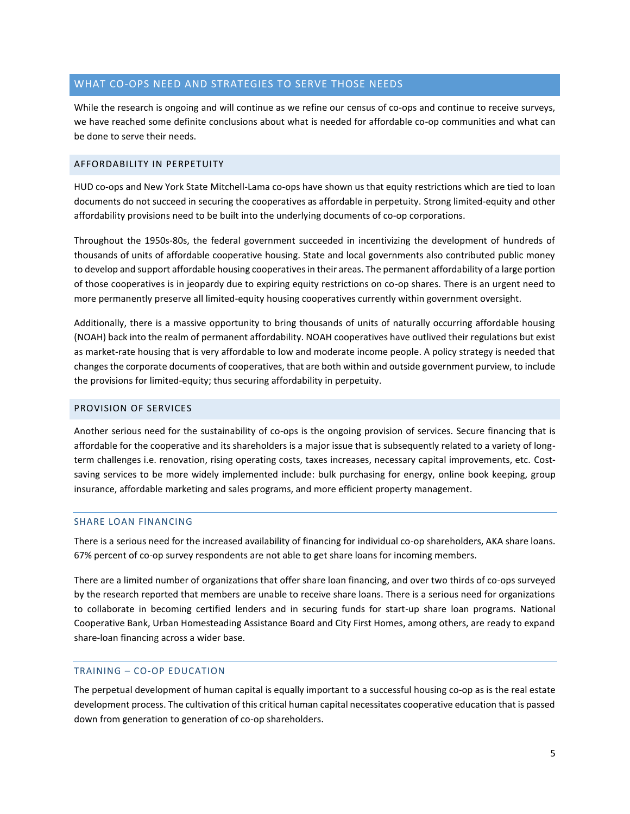# WHAT CO-OPS NEED AND STRATEGIES TO SERVE THOSE NEEDS

While the research is ongoing and will continue as we refine our census of co-ops and continue to receive surveys, we have reached some definite conclusions about what is needed for affordable co-op communities and what can be done to serve their needs.

# AFFORDABILITY IN PERPETUITY

HUD co-ops and New York State Mitchell-Lama co-ops have shown us that equity restrictions which are tied to loan documents do not succeed in securing the cooperatives as affordable in perpetuity. Strong limited-equity and other affordability provisions need to be built into the underlying documents of co-op corporations.

Throughout the 1950s-80s, the federal government succeeded in incentivizing the development of hundreds of thousands of units of affordable cooperative housing. State and local governments also contributed public money to develop and support affordable housing cooperatives in their areas. The permanent affordability of a large portion of those cooperatives is in jeopardy due to expiring equity restrictions on co-op shares. There is an urgent need to more permanently preserve all limited-equity housing cooperatives currently within government oversight.

Additionally, there is a massive opportunity to bring thousands of units of naturally occurring affordable housing (NOAH) back into the realm of permanent affordability. NOAH cooperatives have outlived their regulations but exist as market-rate housing that is very affordable to low and moderate income people. A policy strategy is needed that changes the corporate documents of cooperatives, that are both within and outside government purview, to include the provisions for limited-equity; thus securing affordability in perpetuity.

## PROVISION OF SERVICES

Another serious need for the sustainability of co-ops is the ongoing provision of services. Secure financing that is affordable for the cooperative and its shareholders is a major issue that is subsequently related to a variety of longterm challenges i.e. renovation, rising operating costs, taxes increases, necessary capital improvements, etc. Costsaving services to be more widely implemented include: bulk purchasing for energy, online book keeping, group insurance, affordable marketing and sales programs, and more efficient property management.

#### SHARE LOAN FINANCING

There is a serious need for the increased availability of financing for individual co-op shareholders, AKA share loans. 67% percent of co-op survey respondents are not able to get share loans for incoming members.

There are a limited number of organizations that offer share loan financing, and over two thirds of co-ops surveyed by the research reported that members are unable to receive share loans. There is a serious need for organizations to collaborate in becoming certified lenders and in securing funds for start-up share loan programs. National Cooperative Bank, Urban Homesteading Assistance Board and City First Homes, among others, are ready to expand share-loan financing across a wider base.

# TRAINING – CO-OP EDUCATION

The perpetual development of human capital is equally important to a successful housing co-op as is the real estate development process. The cultivation of this critical human capital necessitates cooperative education that is passed down from generation to generation of co-op shareholders.